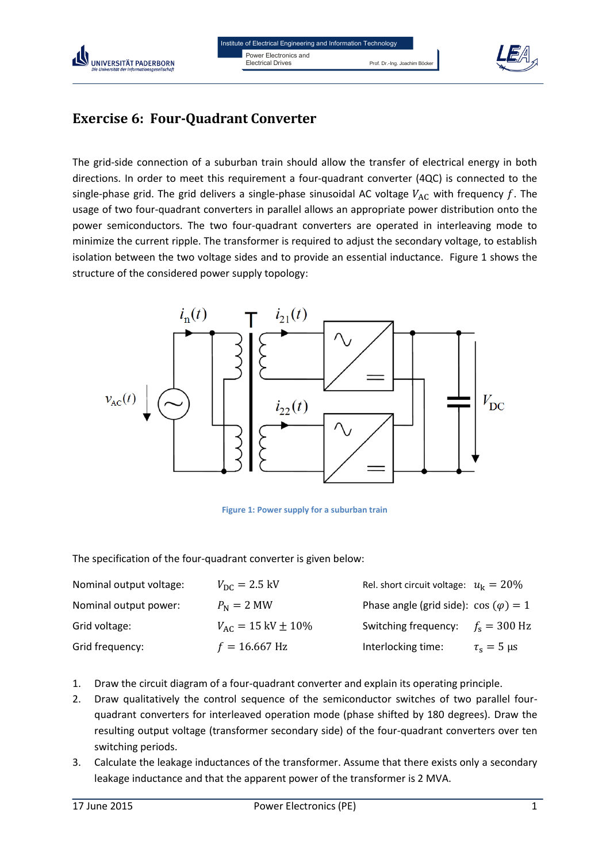



## **Exercise 6: Four-Quadrant Converter**

The grid-side connection of a suburban train should allow the transfer of electrical energy in both directions. In order to meet this requirement a four-quadrant converter (4QC) is connected to the single-phase grid. The grid delivers a single-phase sinusoidal AC voltage  $V_{AC}$  with frequency f. The usage of two four-quadrant converters in parallel allows an appropriate power distribution onto the power semiconductors. The two four-quadrant converters are operated in interleaving mode to minimize the current ripple. The transformer is required to adjust the secondary voltage, to establish isolation between the two voltage sides and to provide an essential inductance. Figure 1 shows the structure of the considered power supply topology:



**Figure 1: Power supply for a suburban train**

The specification of the four-quadrant converter is given below:

| Nominal output voltage: | $V_{\rm DC} = 2.5 \,\rm kV$       | Rel. short circuit voltage: $u_k = 20\%$     |                      |
|-------------------------|-----------------------------------|----------------------------------------------|----------------------|
| Nominal output power:   | $P_{\rm N} = 2$ MW                | Phase angle (grid side): $\cos(\varphi) = 1$ |                      |
| Grid voltage:           | $V_{AC} = 15 \text{ kV} \pm 10\%$ | Switching frequency:                         | $f_s = 300$ Hz       |
| Grid frequency:         | $f = 16.667$ Hz                   | Interlocking time:                           | $\tau_s = 5 \,\mu s$ |

- 1. Draw the circuit diagram of a four-quadrant converter and explain its operating principle.
- 2. Draw qualitatively the control sequence of the semiconductor switches of two parallel fourquadrant converters for interleaved operation mode (phase shifted by 180 degrees). Draw the resulting output voltage (transformer secondary side) of the four-quadrant converters over ten switching periods.
- 3. Calculate the leakage inductances of the transformer. Assume that there exists only a secondary leakage inductance and that the apparent power of the transformer is 2 MVA.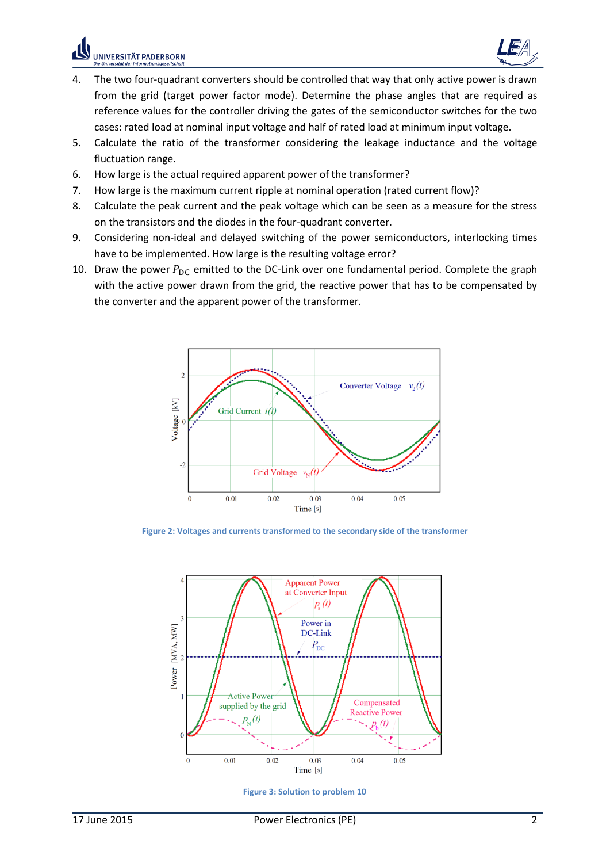$\frac{1}{t}$ 



- 4. The two four-quadrant converters should be controlled that way that only active power is drawn from the grid (target power factor mode). Determine the phase angles that are required as reference values for the controller driving the gates of the semiconductor switches for the two cases: rated load at nominal input voltage and half of rated load at minimum input voltage.
- 5. Calculate the ratio of the transformer considering the leakage inductance and the voltage fluctuation range.
- 6. How large is the actual required apparent power of the transformer?
- 7. How large is the maximum current ripple at nominal operation (rated current flow)?
- 8. Calculate the peak current and the peak voltage which can be seen as a measure for the stress on the transistors and the diodes in the four-quadrant converter.
- 9. Considering non-ideal and delayed switching of the power semiconductors, interlocking times have to be implemented. How large is the resulting voltage error?
- 10. Draw the power  $P_{\text{DC}}$  emitted to the DC-Link over one fundamental period. Complete the graph with the active power drawn from the grid, the reactive power that has to be compensated by the converter and the apparent power of the transformer.



**Figure 2: Voltages and currents transformed to the secondary side of the transformer**



**Figure 3: Solution to problem 10**